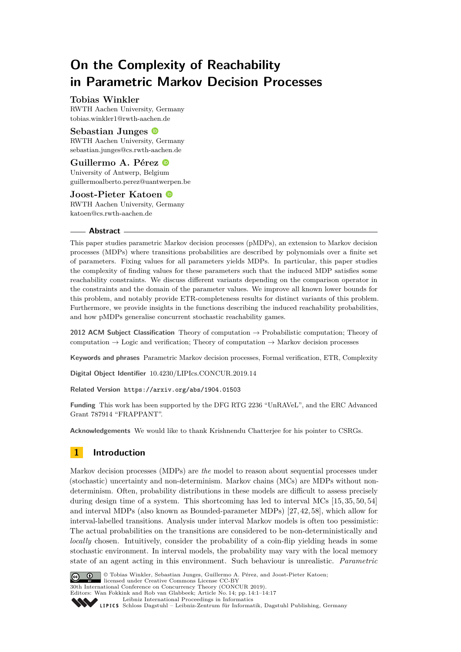# **On the Complexity of Reachability in Parametric Markov Decision Processes**

## **Tobias Winkler**

RWTH Aachen University, Germany [tobias.winkler1@rwth-aachen.de](mailto:tobias.winkler1@rwth-aachen.de)

## **Sebastian Junges**

RWTH Aachen University, Germany [sebastian.junges@cs.rwth-aachen.de](mailto:sebastian.junges@cs.rwth-aachen.de)

## **Guillermo A. Pérez**

University of Antwerp, Belgium [guillermoalberto.perez@uantwerpen.be](mailto:guillermoalberto.perez@uantwerpen.be)

## **Joost-Pieter Katoen**

RWTH Aachen University, Germany [katoen@cs.rwth-aachen.de](mailto:katoen@cs.rwth-aachen.de)

## **Abstract**

This paper studies parametric Markov decision processes (pMDPs), an extension to Markov decision processes (MDPs) where transitions probabilities are described by polynomials over a finite set of parameters. Fixing values for all parameters yields MDPs. In particular, this paper studies the complexity of finding values for these parameters such that the induced MDP satisfies some reachability constraints. We discuss different variants depending on the comparison operator in the constraints and the domain of the parameter values. We improve all known lower bounds for this problem, and notably provide ETR-completeness results for distinct variants of this problem. Furthermore, we provide insights in the functions describing the induced reachability probabilities, and how pMDPs generalise concurrent stochastic reachability games.

**2012 ACM Subject Classification** Theory of computation → Probabilistic computation; Theory of computation  $\rightarrow$  Logic and verification; Theory of computation  $\rightarrow$  Markov decision processes

**Keywords and phrases** Parametric Markov decision processes, Formal verification, ETR, Complexity

**Digital Object Identifier** [10.4230/LIPIcs.CONCUR.2019.14](https://doi.org/10.4230/LIPIcs.CONCUR.2019.14)

**Related Version** <https://arxiv.org/abs/1904.01503>

**Funding** This work has been supported by the DFG RTG 2236 "UnRAVeL", and the ERC Advanced Grant 787914 "FRAPPANT".

**Acknowledgements** We would like to thank Krishnendu Chatterjee for his pointer to CSRGs.

## **1 Introduction**

Markov decision processes (MDPs) are *the* model to reason about sequential processes under (stochastic) uncertainty and non-determinism. Markov chains (MCs) are MDPs without nondeterminism. Often, probability distributions in these models are difficult to assess precisely during design time of a system. This shortcoming has led to interval MCs [\[15,](#page-14-0) [35,](#page-15-0) [50,](#page-16-0) [54\]](#page-16-1) and interval MDPs (also known as Bounded-parameter MDPs) [\[27,](#page-15-1) [42,](#page-15-2) [58\]](#page-16-2), which allow for interval-labelled transitions. Analysis under interval Markov models is often too pessimistic: The actual probabilities on the transitions are considered to be non-deterministically and *locally* chosen. Intuitively, consider the probability of a coin-flip yielding heads in some stochastic environment. In interval models, the probability may vary with the local memory state of an agent acting in this environment. Such behaviour is unrealistic. *Parametric*



© Tobias Winkler, Sebastian Junges, Guillermo A. Pérez, and Joost-Pieter Katoen;  $\boxed{6}$  0 licensed under Creative Commons License CC-BY 30th International Conference on Concurrency Theory (CONCUR 2019).

Editors: Wan Fokkink and Rob van Glabbeek; Article No. 14; pp. 14:1–14[:17](#page-16-3) [Leibniz International Proceedings in Informatics](https://www.dagstuhl.de/lipics/)

Leibniz International Froceedings in miormatics<br>
LIPICS [Schloss Dagstuhl – Leibniz-Zentrum für Informatik, Dagstuhl Publishing, Germany](https://www.dagstuhl.de)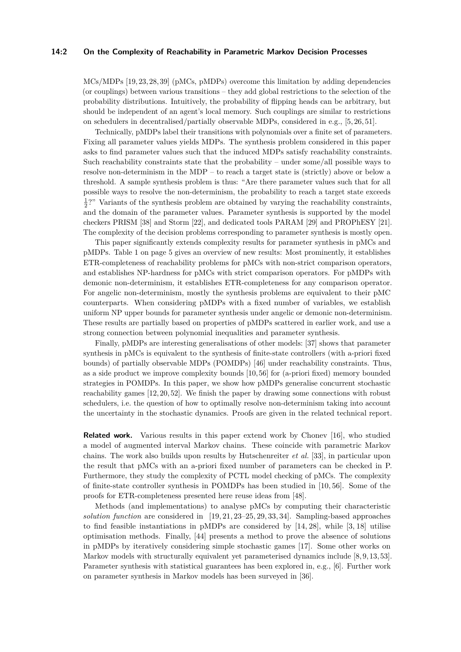#### **14:2 On the Complexity of Reachability in Parametric Markov Decision Processes**

MCs/MDPs [\[19,](#page-14-1) [23,](#page-14-2) [28,](#page-15-3) [39\]](#page-15-4) (pMCs, pMDPs) overcome this limitation by adding dependencies (or couplings) between various transitions – they add global restrictions to the selection of the probability distributions. Intuitively, the probability of flipping heads can be arbitrary, but should be independent of an agent's local memory. Such couplings are similar to restrictions on schedulers in decentralised/partially observable MDPs, considered in e.g., [\[5,](#page-14-3) [26,](#page-15-5) [51\]](#page-16-4).

Technically, pMDPs label their transitions with polynomials over a finite set of parameters. Fixing all parameter values yields MDPs. The synthesis problem considered in this paper asks to find parameter values such that the induced MDPs satisfy reachability constraints. Such reachability constraints state that the probability – under some/all possible ways to resolve non-determinism in the MDP – to reach a target state is (strictly) above or below a threshold. A sample synthesis problem is thus: "Are there parameter values such that for all possible ways to resolve the non-determinism, the probability to reach a target state exceeds  $\frac{1}{2}$ ?" Variants of the synthesis problem are obtained by varying the reachability constraints, and the domain of the parameter values. Parameter synthesis is supported by the model checkers PRISM [\[38\]](#page-15-6) and Storm [\[22\]](#page-14-4), and dedicated tools PARAM [\[29\]](#page-15-7) and PROPhESY [\[21\]](#page-14-5). The complexity of the decision problems corresponding to parameter synthesis is mostly open.

This paper significantly extends complexity results for parameter synthesis in pMCs and pMDPs. Table [1](#page-4-0) on page [5](#page-4-0) gives an overview of new results: Most prominently, it establishes ETR-completeness of reachability problems for pMCs with non-strict comparison operators, and establishes NP-hardness for pMCs with strict comparison operators. For pMDPs with demonic non-determinism, it establishes ETR-completeness for any comparison operator. For angelic non-determinism, mostly the synthesis problems are equivalent to their pMC counterparts. When considering pMDPs with a fixed number of variables, we establish uniform NP upper bounds for parameter synthesis under angelic or demonic non-determinism. These results are partially based on properties of pMDPs scattered in earlier work, and use a strong connection between polynomial inequalities and parameter synthesis.

Finally, pMDPs are interesting generalisations of other models: [\[37\]](#page-15-8) shows that parameter synthesis in pMCs is equivalent to the synthesis of finite-state controllers (with a-priori fixed bounds) of partially observable MDPs (POMDPs) [\[46\]](#page-16-5) under reachability constraints. Thus, as a side product we improve complexity bounds [\[10,](#page-14-6) [56\]](#page-16-6) for (a-priori fixed) memory bounded strategies in POMDPs. In this paper, we show how pMDPs generalise concurrent stochastic reachability games [\[12,](#page-14-7) [20,](#page-14-8) [52\]](#page-16-7). We finish the paper by drawing some connections with robust schedulers, i.e. the question of how to optimally resolve non-determinism taking into account the uncertainty in the stochastic dynamics. Proofs are given in the related technical report.

**Related work.** Various results in this paper extend work by Chonev [\[16\]](#page-14-9), who studied a model of augmented interval Markov chains. These coincide with parametric Markov chains. The work also builds upon results by Hutschenreiter *et al.* [\[33\]](#page-15-9), in particular upon the result that pMCs with an a-priori fixed number of parameters can be checked in P. Furthermore, they study the complexity of PCTL model checking of pMCs. The complexity of finite-state controller synthesis in POMDPs has been studied in [\[10,](#page-14-6) [56\]](#page-16-6). Some of the proofs for ETR-completeness presented here reuse ideas from [\[48\]](#page-16-8).

Methods (and implementations) to analyse pMCs by computing their characteristic *solution function* are considered in [\[19,](#page-14-1) [21,](#page-14-5) [23](#page-14-2)[–25,](#page-14-10) [29,](#page-15-7) [33,](#page-15-9) [34\]](#page-15-10). Sampling-based approaches to find feasible instantiations in pMDPs are considered by [\[14,](#page-14-11) [28\]](#page-15-3), while [\[3,](#page-13-0) [18\]](#page-14-12) utilise optimisation methods. Finally, [\[44\]](#page-15-11) presents a method to prove the absence of solutions in pMDPs by iteratively considering simple stochastic games [\[17\]](#page-14-13). Some other works on Markov models with structurally equivalent yet parameterised dynamics include [\[8,](#page-14-14) [9,](#page-14-15) [13,](#page-14-16) [53\]](#page-16-9). Parameter synthesis with statistical guarantees has been explored in, e.g., [\[6\]](#page-14-17). Further work on parameter synthesis in Markov models has been surveyed in [\[36\]](#page-15-12).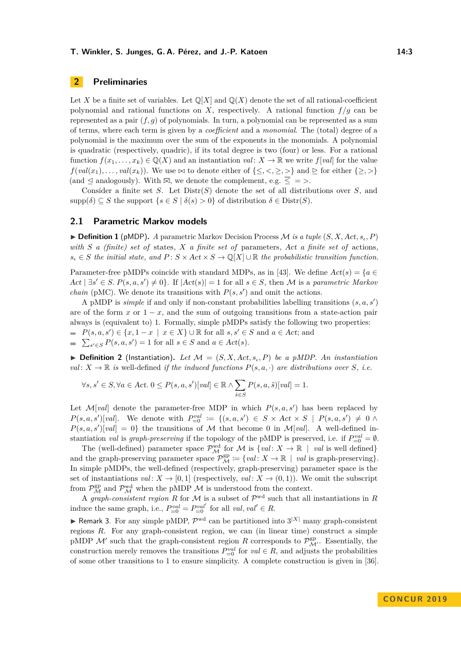## **2 Preliminaries**

Let X be a finite set of variables. Let  $\mathbb{Q}[X]$  and  $\mathbb{Q}(X)$  denote the set of all rational-coefficient polynomial and rational functions on *X*, respectively. A rational function  $f/g$  can be represented as a pair  $(f, g)$  of polynomials. In turn, a polynomial can be represented as a sum of terms, where each term is given by a *coefficient* and a *monomial*. The (total) degree of a polynomial is the maximum over the sum of the exponents in the monomials. A polynomial is quadratic (respectively, quadric), if its total degree is two (four) or less. For a rational function  $f(x_1, \ldots, x_k) \in \mathbb{Q}(X)$  and an instantiation *val* :  $X \to \mathbb{R}$  we write  $f[val]$  for the value  $f(val(x_1), \ldots, val(x_k))$ . We use  $\bowtie$  to denote either of  $\{\leq, <, \geq, >\}$  and  $\triangleright$  for either  $\{\geq, >\}$  $($ and  $\leq$  analogously). With  $\overline{\bowtie}$ , we denote the complement, e.g.  $\leq$  = >.

Consider a finite set *S*. Let Distr(*S*) denote the set of all distributions over *S*, and supp $(\delta) \subseteq S$  the support  $\{s \in S \mid \delta(s) > 0\}$  of distribution  $\delta \in \text{Distr}(S)$ .

## **2.1 Parametric Markov models**

 $\blacktriangleright$  **Definition 1** (pMDP). *A* parametric Markov Decision Process *M is a tuple*  $(S, X, Act, s_i, P)$ *with S a (finite) set of* states*, X a finite set of* parameters*,* Act *a finite set of* actions*,*  $s_i \in S$  *the initial state, and*  $P: S \times Act \times S \rightarrow \mathbb{Q}[X] \cup \mathbb{R}$  *the probabilistic transition function.* 

Parameter-free pMDPs coincide with standard MDPs, as in [\[43\]](#page-15-13). We define  $Act(s) = \{a \in$  $Act \mid \exists s' \in S. P(s, a, s') \neq 0$ . If  $|Act(s)| = 1$  for all  $s \in S$ , then M is a *parametric Markov chain* (pMC). We denote its transitions with  $P(s, s')$  and omit the actions.

A pMDP is *simple* if and only if non-constant probabilities labelling transitions  $(s, a, s')$ are of the form  $x$  or  $1 - x$ , and the sum of outgoing transitions from a state-action pair always is (equivalent to) 1. Formally, simple pMDPs satisfy the following two properties:  $P(s, a, s') \in \{x, 1 - x \mid x \in X\} \cup \mathbb{R}$  for all  $s, s' \in S$  and  $a \in Act$ ; and  $\sum_{s' \in S} P(s, a, s') = 1$  for all  $s \in S$  and  $a \in Act(s)$ .

 $\triangleright$  **Definition 2** (Instantiation). Let  $\mathcal{M} = (S, X, Act, s_i, P)$  be a pMDP. An instantiation *val*:  $X \to \mathbb{R}$  *is* well-defined *if the induced functions*  $P(s, a, \cdot)$  *are distributions over S, i.e.* 

$$
\forall s, s' \in S, \forall a \in Act. \ 0 \le P(s, a, s')[val] \in \mathbb{R} \land \sum_{\hat{s} \in S} P(s, a, \hat{s})[val] = 1.
$$

Let  $\mathcal{M}[val]$  denote the parameter-free MDP in which  $P(s, a, s')$  has been replaced by  $P(s, a, s')[val]$ . We denote with  $P_{=0}^{val} := \{(s, a, s') \in S \times Act \times S \mid P(s, a, s') \neq 0 \land s' \}$  $P(s, a, s')[val] = 0$ } the transitions of M that become 0 in M[*val*]. A well-defined instantiation *val* is *graph-preserving* if the topology of the pMDP is preserved, i.e. if  $P_{=0}^{val} = \emptyset$ .

The (well-defined) parameter space  $\mathcal{P}_{\mathcal{M}}^{\text{wd}}$  for  $\mathcal{M}$  is  $\{val: X \to \mathbb{R} \mid val$  is well defined} and the graph-preserving parameter space  $\mathcal{P}_{\mathcal{M}}^{\text{gp}} \coloneqq \{ val \colon X \to \mathbb{R} \mid val \text{ is graph-preserving} \}.$ In simple pMDPs, the well-defined (respectively, graph-preserving) parameter space is the set of instantiations *val*:  $X \to [0,1]$  (respectively, *val*:  $X \to (0,1)$ ). We omit the subscript from  $\mathcal{P}^{\text{gp}}_{\mathcal{M}}$  and  $\mathcal{P}^{\text{wd}}_{\mathcal{M}}$  when the pMDP  $\mathcal M$  is understood from the context.

A *graph-consistent region* R for M is a subset of  $\mathcal{P}^{\text{wd}}$  such that all instantiations in R induce the same graph, i.e.,  $P_{=0}^{val} = P_{=0}^{val'}$  for all  $val, val' \in R$ .

<span id="page-2-0"></span>**For A** Remark 3. For any simple pMDP,  $\mathcal{P}^{\text{wd}}$  can be partitioned into  $3^{|X|}$  many graph-consistent regions *R*. For any graph-consistent region, we can (in linear time) construct a simple pMDP  $\mathcal{M}'$  such that the graph-consistent region *R* corresponds to  $\mathcal{P}_{\mathcal{M}'}^{\text{gp}}$ . Essentially, the construction merely removes the transitions  $P_{=0}^{val}$  for  $val \in R$ , and adjusts the probabilities of some other transitions to 1 to ensure simplicity. A complete construction is given in [\[36\]](#page-15-12).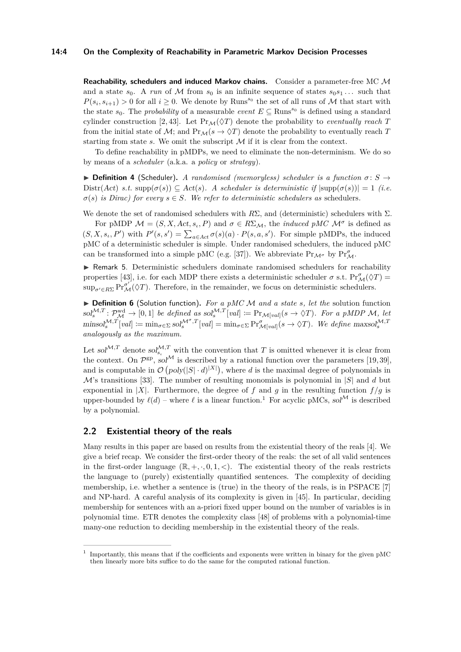## **14:4 On the Complexity of Reachability in Parametric Markov Decision Processes**

**Reachability, schedulers and induced Markov chains.** Consider a parameter-free MC M and a state  $s_0$ . A *run* of M from  $s_0$  is an infinite sequence of states  $s_0s_1...$  such that  $P(s_i, s_{i+1}) > 0$  for all  $i \geq 0$ . We denote by Runs<sup>s<sub>0</sub></sup> the set of all runs of M that start with the state  $s_0$ . The *probability* of a measurable *event*  $E \subseteq \text{Runs}^{s_0}$  is defined using a standard cylinder construction [\[2,](#page-13-1) [43\]](#page-15-13). Let  $Pr_{\mathcal{M}}(\Diamond T)$  denote the probability to *eventually reach T* from the initial state of M; and  $Pr_M(s \to \Diamond T)$  denote the probability to eventually reach T starting from state  $s$ . We omit the subscript  $M$  if it is clear from the context.

To define reachability in pMDPs, we need to eliminate the non-determinism. We do so by means of a *scheduler* (a.k.a. a *policy* or *strategy*).

 $\triangleright$  **Definition 4** (Scheduler). *A randomised (memoryless) scheduler is a function*  $\sigma$ : *S*  $\rightarrow$  $\text{Distr}(Act) \text{ s.t. } \text{supp}(\sigma(s)) \subseteq \text{Act}(s)$ . A scheduler is deterministic if  $|\text{supp}(\sigma(s))| = 1$  (i.e.  $\sigma(s)$  *is Dirac) for every*  $s \in S$ *. We refer to deterministic schedulers as* schedulers.

We denote the set of randomised schedulers with  $R\Sigma$ , and (deterministic) schedulers with  $\Sigma$ .

For pMDP  $\mathcal{M} = (S, X, Act, s_i, P)$  and  $\sigma \in R\Sigma_{\mathcal{M}}$ , the *induced pMC*  $\mathcal{M}^{\sigma}$  is defined as  $(S, X, s_i, P')$  with  $P'(s, s') = \sum_{a \in Act} \sigma(s)(a) \cdot P(s, a, s')$ . For simple pMDPs, the induced pMC of a deterministic scheduler is simple. Under randomised schedulers, the induced pMC can be transformed into a simple pMC (e.g. [\[37\]](#page-15-8)). We abbreviate  $Pr_{\mathcal{M}^{\sigma}}$  by  $Pr_{\mathcal{M}}^{\sigma}$ .

<span id="page-3-1"></span> $\triangleright$  Remark 5. Deterministic schedulers dominate randomised schedulers for reachability properties [\[43\]](#page-15-13), i.e. for each MDP there exists a deterministic scheduler  $\sigma$  s.t.  $\Pr_{\mathcal{M}}^{\sigma}(\Diamond T)$  =  $\sup_{\sigma' \in R\Sigma} \Pr^{\sigma'}_{\mathcal{M}}(\Diamond T)$ . Therefore, in the remainder, we focus on deterministic schedulers.

▶ **Definition 6** (Solution function). *For a pMC M and a state s, let the* solution function  $\text{sol}_{s}^{\mathcal{M},T} : \mathcal{P}_{\mathcal{M}}^{\text{wd}} \to [0,1]$  *be defined as*  $\text{sol}_{s}^{\mathcal{M},T}[val] := \text{Pr}_{\mathcal{M}[val]}(s \to \Diamond T)$ *. For a pMDP M, let*  $\min\{\text{sol}_s^{\mathcal{M},T}[val] := \min_{\sigma \in \Sigma} \text{sol}_s^{\mathcal{M}^{\sigma},T}[val] = \min_{\sigma \in \Sigma} \Pr_{\mathcal{M}[val]}^{\sigma}(s \to \Diamond T)$ . We define  $\max\{\text{sol}_s^{\mathcal{M},T}\}$ *analogously as the maximum.*

Let sol<sup> $M,T$ </sup> denote sol $_{s_i}^{M,T}$  with the convention that T is omitted whenever it is clear from the context. On  $\mathcal{P}^{gp}$ , sol<sup>M</sup> is described by a rational function over the parameters [\[19,](#page-14-1)39], and is computable in  $\mathcal{O}(poly(|S| \cdot d)^{|X|})$ , where *d* is the maximal degree of polynomials in M's transitions [\[33\]](#page-15-9). The number of resulting monomials is polynomial in |*S*| and *d* but exponential in |*X*|. Furthermore, the degree of *f* and *q* in the resulting function  $f/q$  is upper-bounded by  $\ell(d)$  – where  $\ell$  is a linear function.<sup>[1](#page-3-0)</sup> For acyclic pMCs, sol<sup>M</sup> is described by a polynomial.

## **2.2 Existential theory of the reals**

Many results in this paper are based on results from the existential theory of the reals [\[4\]](#page-13-2). We give a brief recap. We consider the first-order theory of the reals: the set of all valid sentences in the first-order language  $(\mathbb{R}, +, \cdot, 0, 1, <)$ . The existential theory of the reals restricts the language to (purely) existentially quantified sentences. The complexity of deciding membership, i.e. whether a sentence is (true) in the theory of the reals, is in PSPACE [\[7\]](#page-14-18) and NP-hard. A careful analysis of its complexity is given in [\[45\]](#page-15-14). In particular, deciding membership for sentences with an a-priori fixed upper bound on the number of variables is in polynomial time. ETR denotes the complexity class [\[48\]](#page-16-8) of problems with a polynomial-time many-one reduction to deciding membership in the existential theory of the reals.

<span id="page-3-0"></span><sup>1</sup> Importantly, this means that if the coefficients and exponents were written in binary for the given pMC then linearly more bits suffice to do the same for the computed rational function.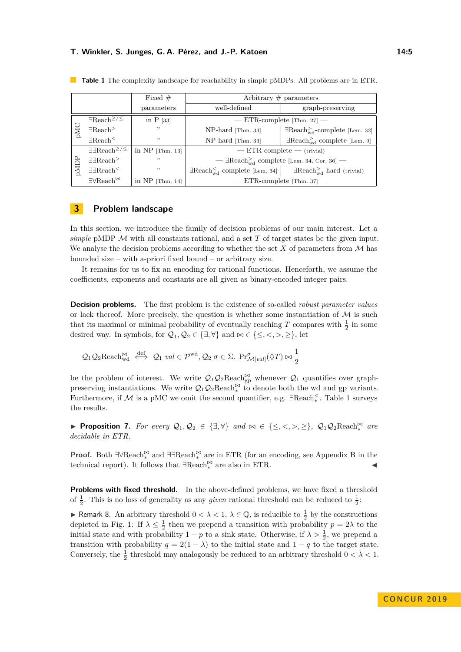|      |                                                                | Fixed $#$         | Arbitrary $\#$ parameters                                                                          |                                                      |
|------|----------------------------------------------------------------|-------------------|----------------------------------------------------------------------------------------------------|------------------------------------------------------|
|      |                                                                | parameters        | well-defined                                                                                       | graph-preserving                                     |
| pMC  | $\exists$ Reach <sup><math>\geq</math>/<math>\leq</math></sup> | in $P$ [33]       | $-$ ETR-complete [Thm. 27] $-$                                                                     |                                                      |
|      | $\exists$ Reach <sup>&gt;</sup>                                | , ,               | NP-hard [Thm. 33]                                                                                  | $\exists$ Reach $_{\text{wd}}^>$ -complete [Lem. 32] |
|      | $\exists$ Reach <sup>&lt;</sup>                                | , ,               | NP-hard [Thm. 33]                                                                                  | $\exists$ Reach <sub>wd</sub> -complete [Lem. 9]     |
| pMDP | $\exists \exists \text{Reach}^{\geq}/\leq$                     | in $NP$ [Thm. 13] | $- ETR$ -complete $-$ (trivial)                                                                    |                                                      |
|      | $\exists \exists$ Reach <sup>&gt;</sup>                        | "                 | — $\exists$ Reach <sub>wd</sub> -complete [Lem. 34, Cor. 36] —                                     |                                                      |
|      | $\exists \exists$ Reach <sup>&lt;</sup>                        | , ,               | $\exists$ Reach $_{\text{wd}}^<$ -complete [Lem. 34] $\Box$ Reach $_{\text{wd}}^>$ -hard (trivial) |                                                      |
|      | $\exists\forall\text{Reach}^{\Join}$                           | in $NP$ [Thm. 14] | $-$ ETR-complete [Thm. 37] $-$                                                                     |                                                      |

<span id="page-4-0"></span>**Table 1** The complexity landscape for reachability in simple pMDPs. All problems are in ETR.

## **3 Problem landscape**

In this section, we introduce the family of decision problems of our main interest. Let a *simple* pMDP M with all constants rational, and a set *T* of target states be the given input. We analyse the decision problems according to whether the set  $X$  of parameters from  $\mathcal M$  has bounded size – with a-priori fixed bound – or arbitrary size.

It remains for us to fix an encoding for rational functions. Henceforth, we assume the coefficients, exponents and constants are all given as binary-encoded integer pairs.

**Decision problems.** The first problem is the existence of so-called *robust parameter values* or lack thereof. More precisely, the question is whether some instantiation of  $\mathcal M$  is such that its maximal or minimal probability of eventually reaching  $T$  compares with  $\frac{1}{2}$  in some desired way. In symbols, for  $\mathcal{Q}_1, \mathcal{Q}_2 \in \{\exists, \forall\}$  and  $\bowtie \in \{\leq, <, >, \geq\}$ , let

$$
Q_1 Q_2 \operatorname{Reach}_{\mathrm{wd}}^{\bowtie} \stackrel{\text{def}}{\iff} Q_1 \text{ val} \in \mathcal{P}^{\mathrm{wd}}, Q_2 \text{ } \sigma \in \Sigma. \ \Pr_{\mathcal{M}[val]}^{\sigma}(\Diamond T) \bowtie \frac{1}{2}
$$

be the problem of interest. We write  $Q_1Q_2\text{Reach}_{gp}^{\bowtie}$  whenever  $Q_1$  quantifies over graphpreserving instantiations. We write  $Q_1 Q_2 \text{Reach}_*^{\bowtie}$  to denote both the wd and gp variants. Furthermore, if M is a pMC we omit the second quantifier, e.g. ∃Reach*<sup>&</sup>lt;* ∗ . Table [1](#page-4-0) surveys the results.

▶ **Proposition 7.** For every  $Q_1, Q_2 \in \{\exists, \forall\}$  and  $\bowtie \in \{\leq, <, >, \geq\}$ ,  $Q_1Q_2\text{Reach}_*^{\bowtie}$  are *decidable in ETR.*

**Proof.** Both ∃∀Reach<sup> $\Join$ </sup> and ∃∃Reach<sup> $\Join$ </sup> are in ETR (for an encoding, see Appendix B in the technical report). It follows that  $\exists \text{Reach}_*^{\bowtie}$  are also in ETR.  $\blacktriangleleft$ 

**Problems with fixed threshold.** In the above-defined problems, we have fixed a threshold of  $\frac{1}{2}$ . This is no loss of generality as any *given* rational threshold can be reduced to  $\frac{1}{2}$ .

<span id="page-4-1"></span>► Remark 8. An arbitrary threshold  $0 < \lambda < 1$ ,  $\lambda \in \mathbb{Q}$ , is reducible to  $\frac{1}{2}$  by the constructions depicted in Fig. [1:](#page-5-3) If  $\lambda \leq \frac{1}{2}$  then we prepend a transition with probability  $p = 2\lambda$  to the initial state and with probability  $1 - p$  to a sink state. Otherwise, if  $\lambda > \frac{1}{2}$ , we prepend a transition with probability  $q = 2(1 - \lambda)$  to the initial state and  $1 - q$  to the target state. Conversely, the  $\frac{1}{2}$  threshold may analogously be reduced to an arbitrary threshold  $0 < \lambda < 1$ .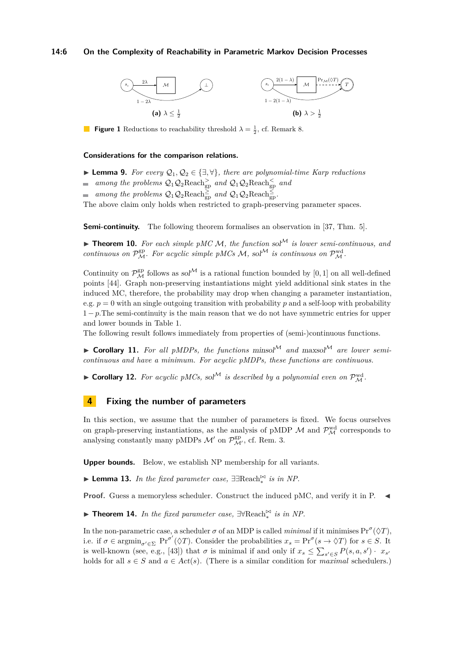#### **14:6 On the Complexity of Reachability in Parametric Markov Decision Processes**

<span id="page-5-3"></span>

**Figure 1** Reductions to reachability threshold  $\lambda = \frac{1}{2}$ , cf. Remark [8.](#page-4-1)

#### **Considerations for the comparison relations.**

- <span id="page-5-0"></span>**► Lemma 9.** For every  $\mathcal{Q}_1, \mathcal{Q}_2 \in \{\exists, \forall\}$ , there are polynomial-time Karp reductions
- *among the problems*  $Q_1Q_2\text{Reach}^>_{gp}$  *and*  $Q_1Q_2\text{Reach}^<_{gp}$  *and*
- among the problems  $Q_1 Q_2 \text{Reach}_{gp}^{\geq}$  and  $Q_1 Q_2 \text{Reach}_{gp}^{\leq}$ .

The above claim only holds when restricted to graph-preserving parameter spaces.

**Semi-continuity.** The following theorem formalises an observation in [\[37,](#page-15-8) Thm. 5].

**Theorem 10.** For each simple pMC M, the function sol<sup>M</sup> is lower semi-continuous, and *continuous on*  $\mathcal{P}_{\mathcal{M}}^{\text{gp}}$ *. For acyclic simple pMCs*  $\mathcal{M}$ *, sol*<sup> $\mathcal{M}$ </sup> *is continuous on*  $\mathcal{P}_{\mathcal{M}}^{\text{wd}}$ *.* 

Continuity on  $\mathcal{P}_{\mathcal{M}}^{\text{gp}}$  follows as  $sol^{\mathcal{M}}$  is a rational function bounded by [0, 1] on all well-defined points [\[44\]](#page-15-11). Graph non-preserving instantiations might yield additional sink states in the induced MC, therefore, the probability may drop when changing a parameter instantiation, e.g.  $p = 0$  with an single outgoing transition with probability p and a self-loop with probability  $1-p$ . The semi-continuity is the main reason that we do not have symmetric entries for upper and lower bounds in Table [1.](#page-4-0)

The following result follows immediately from properties of (semi-)continuous functions.

 $\triangleright$  **Corollary 11.** For all pMDPs, the functions minsol<sup>M</sup> and maxsol<sup>M</sup> are lower semi*continuous and have a minimum. For acyclic pMDPs, these functions are continuous.*

**Corollary 12.** For acyclic pMCs, sol<sup>M</sup> is described by a polynomial even on  $\mathcal{P}_{\mathcal{M}}^{\text{wd}}$ .

## **4 Fixing the number of parameters**

In this section, we assume that the number of parameters is fixed. We focus ourselves on graph-preserving instantiations, as the analysis of pMDP  $\mathcal{M}$  and  $\mathcal{P}_{\mathcal{M}}^{\text{wd}}$  corresponds to analysing constantly many pMDPs  $\mathcal{M}'$  on  $\mathcal{P}_{\mathcal{M}'}^{\text{gp}}$ , cf. Rem. [3.](#page-2-0)

**Upper bounds.** Below, we establish NP membership for all variants.

<span id="page-5-1"></span>► Lemma 13. *In the fixed parameter case*,  $\exists \text{Reach}^{\Join}_*$  *is in NP*.

**Proof.** Guess a memoryless scheduler. Construct the induced pMC, and verify it in P.

<span id="page-5-2"></span>► **Theorem 14.** *In the fixed parameter case,*  $\exists \forall \text{Reach}_*^{\Join}$  *is in NP.* 

In the non-parametric case, a scheduler  $\sigma$  of an MDP is called *minimal* if it minimises  $Pr^{\sigma}(\Diamond T)$ , i.e. if  $\sigma \in \operatorname{argmin}_{\sigma' \in \Sigma} \Pr^{\sigma'}(\Diamond T)$ . Consider the probabilities  $x_s = \Pr^{\sigma}(s \to \Diamond T)$  for  $s \in S$ . It is well-known (see, e.g., [\[43\]](#page-15-13)) that  $\sigma$  is minimal if and only if  $x_s \leq \sum_{s' \in S} P(s, a, s') \cdot x_{s'}$ holds for all  $s \in S$  and  $a \in Act(s)$ . (There is a similar condition for *maximal* schedulers.)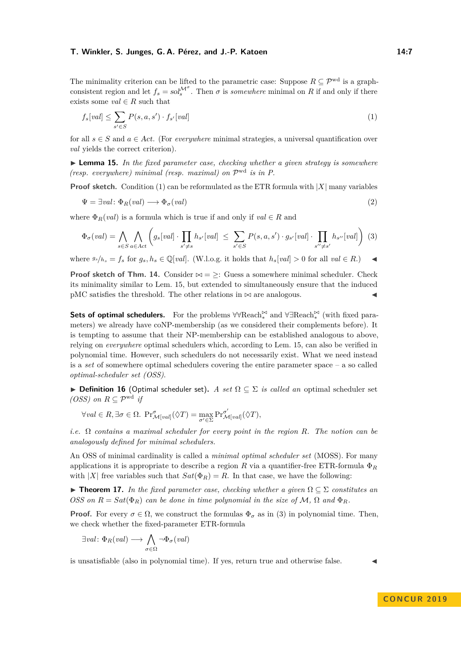The minimality criterion can be lifted to the parametric case: Suppose  $R \subseteq \mathcal{P}^{\text{wd}}$  is a graphconsistent region and let  $f_s = sol_s^{\mathcal{M}^{\sigma}}$ . Then  $\sigma$  is *somewhere* minimal on *R* if and only if there exists some  $val \in R$  such that

<span id="page-6-0"></span>
$$
f_s[val] \le \sum_{s' \in S} P(s, a, s') \cdot f_{s'}[val]
$$
\n<sup>(1)</sup>

for all  $s \in S$  and  $a \in Act$ . (For *everywhere* minimal strategies, a universal quantification over *val* yields the correct criterion).

<span id="page-6-1"></span>I **Lemma 15.** *In the fixed parameter case, checking whether a given strategy is somewhere (resp. everywhere) minimal (resp. maximal) on* P wd *is in P.*

**Proof sketch.** Condition [\(1\)](#page-6-0) can be reformulated as the ETR formula with  $|X|$  many variables

$$
\Psi = \exists val \colon \Phi_R(val) \longrightarrow \Phi_\sigma(val) \tag{2}
$$

where  $\Phi_R(val)$  is a formula which is true if and only if  $val \in R$  and

<span id="page-6-2"></span>
$$
\Phi_{\sigma}(val) = \bigwedge_{s \in S} \bigwedge_{a \in Act} \left( g_s[val] \cdot \prod_{s' \neq s} h_{s'}[val] \right) \leq \sum_{s' \in S} P(s, a, s') \cdot g_{s'}[val] \cdot \prod_{s'' \neq s'} h_{s''}[val] \right) (3)
$$

where  $g_s/h_s = f_s$  for  $g_s, h_s \in \mathbb{Q}[val]$ . (W.l.o.g. it holds that  $h_s[val] > 0$  for all  $val \in R$ .)

**Proof sketch of Thm. [14.](#page-5-2)** Consider  $\bowtie$  =  $\geq$ : Guess a somewhere minimal scheduler. Check its minimality similar to Lem. [15,](#page-6-1) but extended to simultaneously ensure that the induced pMC satisfies the threshold. The other relations in  $\bowtie$  are analogous.

**Sets of optimal schedulers.** For the problems  $\forall \forall \text{Reach}_*^{\Join}$  and  $\forall \exists \text{Reach}_*^{\Join}$  (with fixed parameters) we already have coNP-membership (as we considered their complements before). It is tempting to assume that their NP-membership can be established analogous to above, relying on *everywhere* optimal schedulers which, according to Lem. [15,](#page-6-1) can also be verified in polynomial time. However, such schedulers do not necessarily exist. What we need instead is a *set* of somewhere optimal schedulers covering the entire parameter space – a so called *optimal-scheduler set (OSS)*.

**► Definition 16** (Optimal scheduler set). *A set*  $\Omega \subseteq \Sigma$  *is called an* optimal scheduler set *(OSS)* on  $R ⊆ \mathcal{P}^{\text{wd}}$  *if* 

$$
\forall val \in R, \exists \sigma \in \Omega. \ \Pr_{\mathcal{M}[val]}^{\sigma}(\Diamond T) = \max_{\sigma' \in \Sigma} \Pr_{\mathcal{M}[val]}^{\sigma'}(\Diamond T),
$$

*i.e.* Ω *contains a maximal scheduler for every point in the region R. The notion can be analogously defined for minimal schedulers.*

An OSS of minimal cardinality is called a *minimal optimal scheduler set* (MOSS). For many applications it is appropriate to describe a region *R* via a quantifier-free ETR-formula Φ*<sup>R</sup>* with  $|X|$  free variables such that  $Sat(\Phi_R)=R$ . In that case, we have the following:

**► Theorem 17.** In the fixed parameter case, checking whether a given  $\Omega \subseteq \Sigma$  constitutes an *OSS* on  $R = Sat(\Phi_R)$  *can be done in time polynomial in the size of*  $M$ ,  $\Omega$  *and*  $\Phi_R$ *.* 

**Proof.** For every  $\sigma \in \Omega$ , we construct the formulas  $\Phi_{\sigma}$  as in [\(3\)](#page-6-2) in polynomial time. Then, we check whether the fixed-parameter ETR-formula

$$
\exists val \colon \Phi_R(val) \longrightarrow \bigwedge_{\sigma \in \Omega} \neg \Phi_{\sigma}(val)
$$

is unsatisfiable (also in polynomial time). If yes, return true and otherwise false.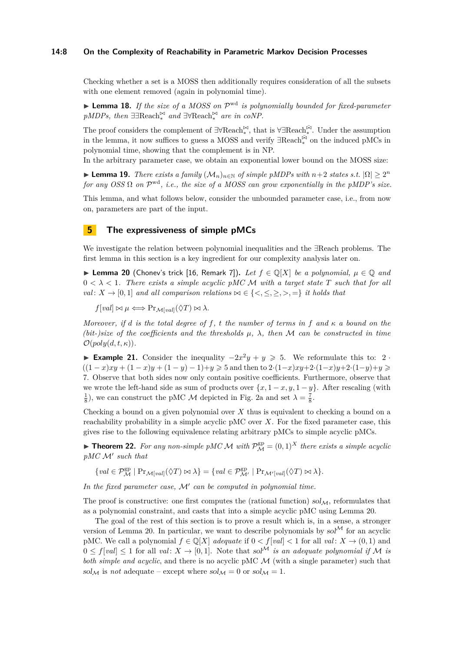## **14:8 On the Complexity of Reachability in Parametric Markov Decision Processes**

Checking whether a set is a MOSS then additionally requires consideration of all the subsets with one element removed (again in polynomial time).

► Lemma 18. If the size of a MOSS on  $\mathcal{P}^{\text{wd}}$  is polynomially bounded for fixed-parameter *pMDPs, then*  $\exists \exists \text{Reach}_*^{\bowtie} \text{ and } \exists \forall \text{Reach}_*^{\bowtie} \text{ are in } coNP.$ 

The proof considers the complement of  $\exists \forall \text{Reach}_*^{\bowtie}$ , that is  $\forall \exists \text{Reach}_*^{\bowtie}$ . Under the assumption in the lemma, it now suffices to guess a MOSS and verify  $\exists \text{Reach}_*^{\bar{\bowtie}}$  on the induced pMCs in polynomial time, showing that the complement is in NP.

In the arbitrary parameter case, we obtain an exponential lower bound on the MOSS size:

► **Lemma 19.** *There exists a family*  $(M_n)_{n \in \mathbb{N}}$  *of simple pMDPs with*  $n+2$  *states s.t.*  $|\Omega| \geq 2^n$ *for any OSS*  $\Omega$  *on*  $\mathcal{P}^{\text{wd}}$ *, i.e., the size of a MOSS can grow exponentially in the pMDP's size.* 

This lemma, and what follows below, consider the unbounded parameter case, i.e., from now on, parameters are part of the input.

## **5 The expressiveness of simple pMCs**

We investigate the relation between polynomial inequalities and the ∃Reach problems. The first lemma in this section is a key ingredient for our complexity analysis later on.

<span id="page-7-0"></span>**► Lemma 20** (Chonev's trick [\[16,](#page-14-9) Remark 7]). Let  $f \in \mathbb{Q}[X]$  be a polynomial,  $\mu \in \mathbb{Q}$  and  $0 < \lambda < 1$ . There exists a simple acyclic pMC M with a target state T such that for all *val*:  $X \rightarrow [0,1]$  *and all comparison relations*  $\bowtie \in \{ \leq, \leq, \geq, \geq, = \}$  *it holds that* 

 $f[val] \bowtie \mu \Longleftrightarrow Pr_{\mathcal{M}[val]}(\Diamond T) \bowtie \lambda.$ 

*Moreover, if d is the total degree of f*, *t the number of terms in f* and  $\kappa$  *a bound on the (bit-)size of the coefficients and the thresholds*  $\mu$ ,  $\lambda$ , then M can be constructed in time  $\mathcal{O}(poly(d,t,\kappa)).$ 

**Example 21.** Consider the inequality  $-2x^2y + y \ge 5$ . We reformulate this to: 2 ·  $((1-x)xy + (1-x)y + (1-y) - 1) + y \ge 5$  and then to  $2 \cdot (1-x)xy + 2 \cdot (1-x)y + 2 \cdot (1-y) + y \ge 5$ 7. Observe that both sides now only contain positive coefficients. Furthermore, observe that we wrote the left-hand side as sum of products over  $\{x, 1 - x, y, 1 - y\}$ . After rescaling (with  $\frac{1}{8}$ , we can construct the pMC *M* depicted in Fig. [2a](#page-8-1) and set  $\lambda = \frac{7}{8}$ .

Checking a bound on a given polynomial over *X* thus is equivalent to checking a bound on a reachability probability in a simple acyclic pMC over *X*. For the fixed parameter case, this gives rise to the following equivalence relating arbitrary pMCs to simple acyclic pMCs.

**Theorem 22.** For any non-simple pMC M with  $\mathcal{P}_{\mathcal{M}}^{\text{gp}} = (0,1)^X$  there exists a simple acyclic *pMC* M<sup>0</sup> *such that*

 ${val \in \mathcal{P}_{\mathcal{M}}^{\text{gp}} \mid \text{Pr}_{\mathcal{M}[val]}(\Diamond T) \bowtie \lambda} = {val \in \mathcal{P}_{\mathcal{M}'}^{\text{gp}} \mid \text{Pr}_{\mathcal{M'}[val]}(\Diamond T) \bowtie \lambda}.$ 

In the fixed parameter case,  $\mathcal{M}'$  can be computed in polynomial time.

The proof is constructive: one first computes the (rational function)  $sol<sub>M</sub>$ , reformulates that as a polynomial constraint, and casts that into a simple acyclic pMC using Lemma [20.](#page-7-0)

The goal of the rest of this section is to prove a result which is, in a sense, a stronger version of Lemma [20.](#page-7-0) In particular, we want to describe polynomials by  $\text{sol}^{\mathcal{M}}$  for an acyclic pMC. We call a polynomial  $f \in \mathbb{Q}[X]$  *adequate* if  $0 < f[val] < 1$  for all *val* :  $X \to (0,1)$  and  $0 \le f[val] \le 1$  for all *val*:  $X \to [0,1]$ . Note that sol<sup>M</sup> is an adequate polynomial if M is *both simple and acyclic*, and there is no acyclic pMC M (with a single parameter) such that sol<sub>M</sub> is *not* adequate – except where  $sol_M = 0$  or  $sol_M = 1$ .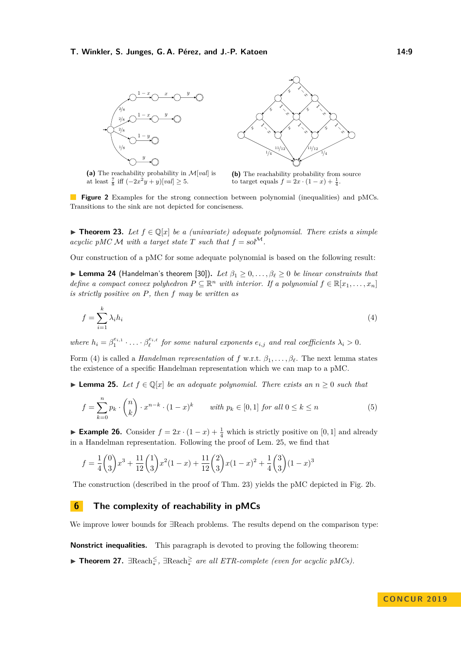<span id="page-8-1"></span>

**(a)** The reachability probability in M[*val*] is at least  $\frac{7}{8}$  iff  $(-2x^2y + y)[val] \ge 5$ .



<span id="page-8-2"></span>**(b)** The reachability probability from source to target equals  $f = 2x \cdot (1 - x) + \frac{1}{4}$ .

**Figure 2** Examples for the strong connection between polynomial (inequalities) and pMCs. Transitions to the sink are not depicted for conciseness.

<span id="page-8-4"></span>**► Theorem 23.** Let  $f \in \mathbb{Q}[x]$  be a (univariate) adequate polynomial. There exists a simple *acyclic pMC*  $\mathcal M$  *with a target state*  $T$  *such that*  $f = \text{sol}^{\mathcal M}$ .

Our construction of a pMC for some adequate polynomial is based on the following result:

► Lemma 24 (Handelman's theorem [\[30\]](#page-15-15)). Let  $\beta_1 \geq 0, \ldots, \beta_\ell \geq 0$  *be linear constraints that define a compact convex polyhedron*  $P \subseteq \mathbb{R}^n$  *with interior. If a polynomial*  $f \in \mathbb{R}[x_1, \ldots, x_n]$ *is strictly positive on P, then f may be written as*

$$
f = \sum_{i=1}^{k} \lambda_i h_i \tag{4}
$$

where  $h_i = \beta_1^{e_{i,1}} \cdot \ldots \cdot \beta_\ell^{e_{i,\ell}}$  for some natural exponents  $e_{i,j}$  and real coefficients  $\lambda_i > 0$ .

Form [\(4\)](#page-8-2) is called a *Handelman representation* of *f* w.r.t.  $\beta_1, \ldots, \beta_\ell$ . The next lemma states the existence of a specific Handelman representation which we can map to a pMC.

<span id="page-8-3"></span>► **Lemma 25.** Let  $f \in \mathbb{Q}[x]$  be an adequate polynomial. There exists an  $n \geq 0$  such that

$$
f = \sum_{k=0}^{n} p_k \cdot \binom{n}{k} \cdot x^{n-k} \cdot (1-x)^k \qquad \text{with } p_k \in [0,1] \text{ for all } 0 \le k \le n \tag{5}
$$

**Example 26.** Consider  $f = 2x \cdot (1-x) + \frac{1}{4}$  which is strictly positive on [0, 1] and already in a Handelman representation. Following the proof of Lem. [25,](#page-8-3) we find that

$$
f = \frac{1}{4} {0 \choose 3} x^3 + \frac{11}{12} {1 \choose 3} x^2 (1-x) + \frac{11}{12} {2 \choose 3} x (1-x)^2 + \frac{1}{4} {3 \choose 3} (1-x)^3
$$

The construction (described in the proof of Thm. [23\)](#page-8-4) yields the pMC depicted in Fig. [2b.](#page-8-1)

## **6 The complexity of reachability in pMCs**

We improve lower bounds for ∃Reach problems. The results depend on the comparison type:

**Nonstrict inequalities.** This paragraph is devoted to proving the following theorem:

<span id="page-8-0"></span>► **Theorem 27.**  $\exists$ Reach<sup>≤</sup>,  $\exists$ Reach<sup>≥</sup> *are all ETR-complete (even for acyclic pMCs)*.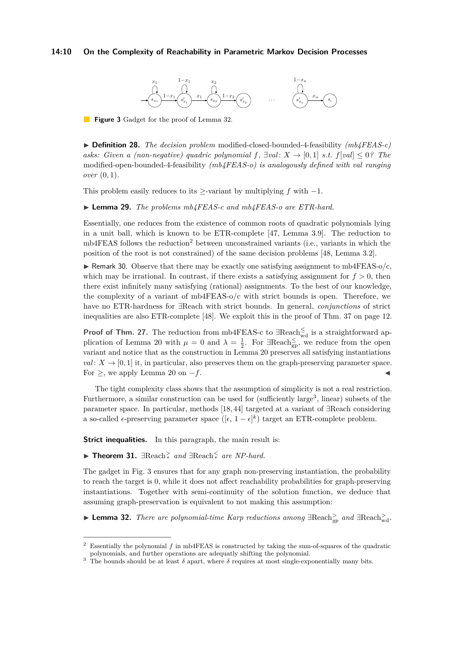## <span id="page-9-3"></span>**14:10 On the Complexity of Reachability in Parametric Markov Decision Processes**



**Figure 3** Gadget for the proof of Lemma [32.](#page-9-0)

I **Definition 28.** *The decision problem* modified-closed-bounded-4-feasibility *(mb4FEAS-c) asks: Given a (non-negative) quadric polynomial*  $f$ *,*  $\exists val: X \rightarrow [0,1]$  *<i>s.t.*  $f[val] \leq 0$ ? The modified-open-bounded-4-feasibility *(mb4FEAS-o) is analogously defined with val ranging over* (0*,* 1)*.*

This problem easily reduces to its  $\ge$ -variant by multiplying *f* with  $-1$ .

I **Lemma 29.** *The problems mb4FEAS-c and mb4FEAS-o are ETR-hard.*

Essentially, one reduces from the existence of common roots of quadratic polynomials lying in a unit ball, which is known to be ETR-complete [\[47,](#page-16-10) Lemma 3.9]. The reduction to  $mb4FEAS$  follows the reduction<sup>[2](#page-9-1)</sup> between unconstrained variants (i.e., variants in which the position of the root is not constrained) of the same decision problems [\[48,](#page-16-8) Lemma 3.2].

**In Remark 30.** Observe that there may be exactly one satisfying assignment to mb4FEAS-o/c, which may be irrational. In contrast, if there exists a satisfying assignment for  $f > 0$ , then there exist infinitely many satisfying (rational) assignments. To the best of our knowledge, the complexity of a variant of mb4FEAS-o/c with strict bounds is open. Therefore, we have no ETR-hardness for ∃Reach with strict bounds. In general, *conjunctions* of strict inequalities are also ETR-complete [\[48\]](#page-16-8). We exploit this in the proof of Thm. [37](#page-11-1) on page [12.](#page-11-1)

**Proof of Thm.** [27.](#page-8-0) The reduction from mb4FEAS-c to ∃Reach<sup>≤</sup><sub>wd</sub> is a straightforward ap-plication of Lemma [20](#page-7-0) with  $\mu = 0$  and  $\lambda = \frac{1}{2}$ . For  $\exists$ Reach<sub>gp</sub>, we reduce from the open variant and notice that as the construction in Lemma [20](#page-7-0) preserves all satisfying instantiations  $val: X \rightarrow [0, 1]$  it, in particular, also preserves them on the graph-preserving parameter space. For  $\geq$ , we apply Lemma [20](#page-7-0) on  $-f$ .

The tight complexity class shows that the assumption of simplicity is not a real restriction. Furthermore, a similar construction can be used for (sufficiently large<sup>[3](#page-9-2)</sup>, linear) subsets of the parameter space. In particular, methods [\[18,](#page-14-12) [44\]](#page-15-11) targeted at a variant of ∃Reach considering a so-called  $\epsilon$ -preserving parameter space  $([\epsilon, 1-\epsilon]^k)$  target an ETR-complete problem.

**Strict inequalities.** In this paragraph, the main result is:

<span id="page-9-4"></span>I **Theorem 31.** ∃Reach*<sup>&</sup>gt; \* and* ∃Reach*<sup>&</sup>lt; \* are NP-hard.*

The gadget in Fig. [3](#page-9-3) ensures that for any graph non-preserving instantiation, the probability to reach the target is 0, while it does not affect reachability probabilities for graph-preserving instantiations. Together with semi-continuity of the solution function, we deduce that assuming graph-preservation is equivalent to not making this assumption:

<span id="page-9-0"></span>**► Lemma 32.** *There are polynomial-time Karp reductions among*  $\exists$ Reach $\frac{>}{qp}$  *and*  $\exists$ Reach $\frac{>}{w}$ *d*.

<span id="page-9-1"></span><sup>2</sup> Essentially the polynomial *f* in mb4FEAS is constructed by taking the sum-of-squares of the quadratic polynomials, and further operations are adequatly shifting the polynomial.

<span id="page-9-2"></span>The bounds should be at least  $\delta$  apart, where  $\delta$  requires at most single-exponentially many bits.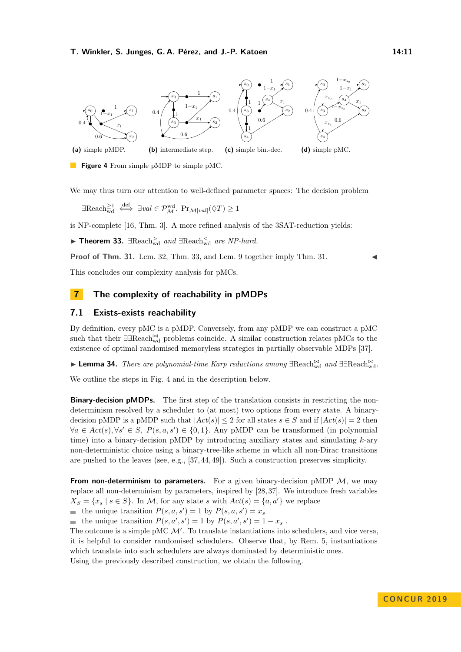<span id="page-10-2"></span>

**(a)** simple pMDP.

**(b)** intermediate step.

**(c)** simple bin.-dec.

**(d)** simple pMC.

**Figure 4** From simple pMDP to simple pMC.

We may thus turn our attention to well-defined parameter spaces: The decision problem

 $\exists \text{Reach}_{\text{wd}}^{\geq 1} \stackrel{\text{def}}{\iff} \exists val \in \mathcal{P}_{\mathcal{M}}^{\text{wd}}. \text{ } \text{Pr}_{\mathcal{M}[val]}(\Diamond T) \geq 1$ 

is NP-complete [\[16,](#page-14-9) Thm. 3]. A more refined analysis of the 3SAT-reduction yields:

<span id="page-10-0"></span>**► Theorem 33.**  $\exists$ Reach<sub>wd</sub> and  $\exists$ Reach<sub>wd</sub> are NP-hard.

**Proof of Thm. [31.](#page-9-4)** Lem. [32,](#page-9-0) Thm. [33,](#page-10-0) and Lem. [9](#page-5-0) together imply Thm. 31.

This concludes our complexity analysis for pMCs.

## **7 The complexity of reachability in pMDPs**

## **7.1 Exists-exists reachability**

By definition, every pMC is a pMDP. Conversely, from any pMDP we can construct a pMC such that their ∃∃Reach $\stackrel{\bowtie}{\scriptscriptstyle{\text{wd}}}$  problems coincide. A similar construction relates pMCs to the existence of optimal randomised memoryless strategies in partially observable MDPs [\[37\]](#page-15-8).

<span id="page-10-1"></span>► Lemma 34. *There are polynomial-time Karp reductions among* ∃Reach $\{M_{wd}^{\bowtie} \}$  *and* ∃∃Reach $\{M_{wd}^{\bowtie} \}$ .

We outline the steps in Fig. [4](#page-10-2) and in the description below.

**Binary-decision pMDPs.** The first step of the translation consists in restricting the nondeterminism resolved by a scheduler to (at most) two options from every state. A binarydecision pMDP is a pMDP such that  $|Act(s)| \leq 2$  for all states  $s \in S$  and if  $|Act(s)| = 2$  then  $\forall a \in Act(s), \forall s' \in S, P(s, a, s') \in \{0, 1\}.$  Any pMDP can be transformed (in polynomial time) into a binary-decision pMDP by introducing auxiliary states and simulating *k*-ary non-deterministic choice using a binary-tree-like scheme in which all non-Dirac transitions are pushed to the leaves (see, e.g., [\[37,](#page-15-8) [44,](#page-15-11) [49\]](#page-16-11)). Such a construction preserves simplicity.

**From non-determinism to parameters.** For a given binary-decision pMDP  $M$ , we may replace all non-determinism by parameters, inspired by [\[28,](#page-15-3) [37\]](#page-15-8). We introduce fresh variables  $X_S = \{x_s \mid s \in S\}$ . In *M*, for any state *s* with  $Act(s) = \{a, a'\}$  we replace

the unique transition  $P(s, a, s') = 1$  by  $P(s, a, s') = x_s$ 

the unique transition  $P(s, a', s') = 1$  by  $P(s, a', s') = 1 - x_s$ .

The outcome is a simple pMC  $\mathcal{M}'$ . To translate instantiations into schedulers, and vice versa, it is helpful to consider randomised schedulers. Observe that, by Rem. [5,](#page-3-1) instantiations which translate into such schedulers are always dominated by deterministic ones. Using the previously described construction, we obtain the following.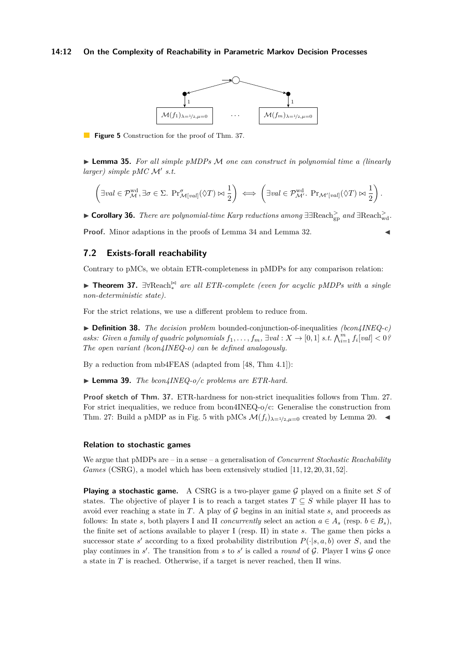#### <span id="page-11-2"></span>**14:12 On the Complexity of Reachability in Parametric Markov Decision Processes**



**Figure 5** Construction for the proof of Thm. [37.](#page-11-1)

► **Lemma 35.** *For all simple pMDPs M one can construct in polynomial time a (linearly larger)* simple pMC  $\mathcal{M}'$  s.t.

$$
\left(\exists val \in \mathcal{P}_{\mathcal{M}}^{\text{wd}}, \exists \sigma \in \Sigma. \; \Pr_{\mathcal{M}[val]}^{\sigma}(\Diamond T) \bowtie \frac{1}{2}\right) \iff \left(\exists val \in \mathcal{P}_{\mathcal{M}'}^{\text{wd}}. \; \Pr_{\mathcal{M'}[val]}(\Diamond T) \bowtie \frac{1}{2}\right).
$$

<span id="page-11-0"></span>**Example 15.** *There are polynomial-time Karp reductions among*  $\exists \text{Reach}_{gp}^>$  *and*  $\exists \text{Reach}_{wd}^>$ .

**Proof.** Minor adaptions in the proofs of Lemma [34](#page-10-1) and Lemma [32.](#page-9-0)

## **7.2 Exists-forall reachability**

Contrary to pMCs, we obtain ETR-completeness in pMDPs for any comparison relation:

<span id="page-11-1"></span>► **Theorem 37.** ∃∀Reach<sup> $\Join$ </sup> are all ETR-complete (even for acyclic pMDPs with a single *non-deterministic state).*

For the strict relations, we use a different problem to reduce from.

I **Definition 38.** *The decision problem* bounded-conjunction-of-inequalities *(bcon4INEQ-c) asks: Given a family of quadric polynomials*  $f_1, \ldots, f_m$ ,  $\exists val : X \rightarrow [0, 1]$  *s.t.*  $\bigwedge_{i=1}^m f_i[val] < 0$ ? *The open variant (bcon4INEQ-o) can be defined analogously.*

By a reduction from mb4FEAS (adapted from [\[48,](#page-16-8) Thm 4.1]):

▶ **Lemma 39.** *The bcon4INEQ-o/c problems are ETR-hard.* 

**Proof sketch of Thm. [37.](#page-11-1)** ETR-hardness for non-strict inequalities follows from Thm. [27.](#page-8-0) For strict inequalities, we reduce from bcon4INEQ-o/c: Generalise the construction from Thm. [27:](#page-8-0) Build a pMDP as in Fig. [5](#page-11-2) with pMCs  $\mathcal{M}(f_i)_{\lambda=1/2,\mu=0}$  created by Lemma [20.](#page-7-0)

## **Relation to stochastic games**

We argue that pMDPs are – in a sense – a generalisation of *Concurrent Stochastic Reachability Games* (CSRG), a model which has been extensively studied [\[11,](#page-14-19) [12,](#page-14-7) [20,](#page-14-8) [31,](#page-15-16) [52\]](#page-16-7).

**Playing a stochastic game.** A CSRG is a two-player game G played on a finite set S of states. The objective of player I is to reach a target states  $T \subseteq S$  while player II has to avoid ever reaching a state in *T*. A play of  $\mathcal G$  begins in an initial state  $s_i$  and proceeds as follows: In state *s*, both players I and II *concurrently* select an action  $a \in A_s$  (resp.  $b \in B_s$ ), the finite set of actions available to player I (resp. II) in state *s*. The game then picks a successor state *s'* according to a fixed probability distribution  $P(\cdot|s, a, b)$  over *S*, and the play continues in  $s'$ . The transition from  $s$  to  $s'$  is called a *round* of  $\mathcal{G}$ . Player I wins  $\mathcal{G}$  once a state in *T* is reached. Otherwise, if a target is never reached, then II wins.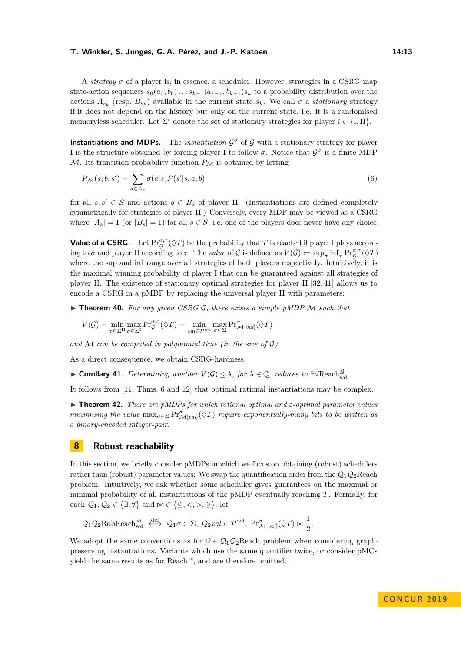A *strategy σ* of a player is, in essence, a scheduler. However, strategies in a CSRG map state-action sequences  $s_0(a_0, b_0) \ldots s_{k-1}(a_{k-1}, b_{k-1}) s_k$  to a probability distribution over the actions  $A_{s_k}$  (resp.  $B_{s_k}$ ) available in the current state  $s_k$ . We call  $\sigma$  a *stationary* strategy if it does not depend on the history but only on the current state, i.e. it is a randomised memoryless scheduler. Let  $\Sigma^i$  denote the set of stationary strategies for player  $i \in \{\text{I}, \text{II}\}.$ 

**Instantiations and MDPs.** The *instantiation*  $\mathcal{G}^{\sigma}$  of  $\mathcal{G}$  with a stationary strategy for player I is the structure obtained by forcing player I to follow  $\sigma$ . Notice that  $\mathcal{G}^{\sigma}$  is a finite MDP  $M$ . Its transition probability function  $P_M$  is obtained by letting

$$
P_{\mathcal{M}}(s,b,s') = \sum_{a \in A_s} \sigma(a|s) P(s'|s,a,b)
$$
\n
$$
(6)
$$

for all  $s, s' \in S$  and actions  $b \in B_s$  of player II. (Instantiations are defined completely symmetrically for strategies of player II.) Conversely, every MDP may be viewed as a CSRG where  $|A_s| = 1$  (or  $|B_s| = 1$ ) for all  $s \in S$ , i.e. one of the players does never have any choice.

**Value of a CSRG.** Let  $\Pr_{\mathcal{G}}^{\sigma,\tau}(\Diamond T)$  be the probability that *T* is reached if player I plays according to  $\sigma$  and player II according to  $\tau$ . The *value* of  $\mathcal G$  is defined as  $V(\mathcal G) \coloneqq \sup_{\sigma} \inf_{\tau} \Pr_{\mathcal G}^{\sigma,\tau}(\Diamond T)$ where the sup and inf range over all strategies of both players respectively. Intuitively, it is the maximal winning probability of player I that can be guaranteed against all strategies of player II. The existence of stationary optimal strategies for player II [\[32,](#page-15-17) [41\]](#page-15-18) allows us to encode a CSRG in a pMDP by replacing the universal player II with parameters:

 $\triangleright$  **Theorem 40.** For any given CSRG G, there exists a simple pMDP M such that

$$
V(\mathcal{G}) = \min_{\tau \in \Sigma^{\mathrm{II}}} \max_{\sigma \in \Sigma^{\mathrm{I}}} \mathrm{Pr}^{\sigma, \tau}_{\mathcal{G}}(\Diamond T) = \min_{\mathit{val} \in \mathcal{P}^{\mathrm{wd}}} \max_{\sigma \in \Sigma} \mathrm{Pr}^{\sigma}_{\mathcal{M}[val]}(\Diamond T)
$$

*and* M *can be computed in polynomial time (in the size of* G*).*

As a direct consequence, we obtain CSRG-hardness.

► **Corollary 41.** Determining whether  $V(G) \leq \lambda$ , for  $\lambda \in \mathbb{Q}$ , reduces to  $\exists \forall \text{Reach}_{wd}^{\leq}$ .

It follows from [\[11,](#page-14-19) Thms. 6 and 12] that optimal rational instantiations may be complex.

I **Theorem 42.** *There are pMDPs for which rational optimal and ε-optimal parameter values minimising the value*  $\max_{\sigma \in \Sigma} \Pr_{\mathcal{M}[val]}^{\sigma}(\Diamond T)$  *require exponentially-many bits to be written as a binary-encoded integer-pair.*

## **8 Robust reachability**

In this section, we briefly consider pMDPs in which we focus on obtaining (robust) schedulers rather than (robust) parameter values: We swap the quantification order from the  $Q_1Q_2$ Reach problem. Intuitively, we ask whether some scheduler gives guarantees on the maximal or minimal probability of all instantiations of the pMDP eventually reaching *T*. Formally, for each  $\mathcal{Q}_1, \mathcal{Q}_2 \in \{\exists, \forall\}$  and  $\bowtie \in \{\leq, <, >, \geq\}$ , let

$$
Q_1 Q_2 \text{RobReach}_{\text{wd}}^{\bowtie} \stackrel{\text{def}}{\iff} Q_1 \sigma \in \Sigma, Q_2 \text{val} \in \mathcal{P}^{\text{wd}}. \text{Pr}_{\mathcal{M}[val]}^{\sigma}(\Diamond T) \bowtie \frac{1}{2}.
$$

We adopt the same conventions as for the  $Q_1Q_2$ Reach problem when considering graphpreserving instantiations. Variants which use the same quantifier twice, or consider pMCs yield the same results as for Reach<sup> $\bowtie$ </sup>, and are therefore omitted.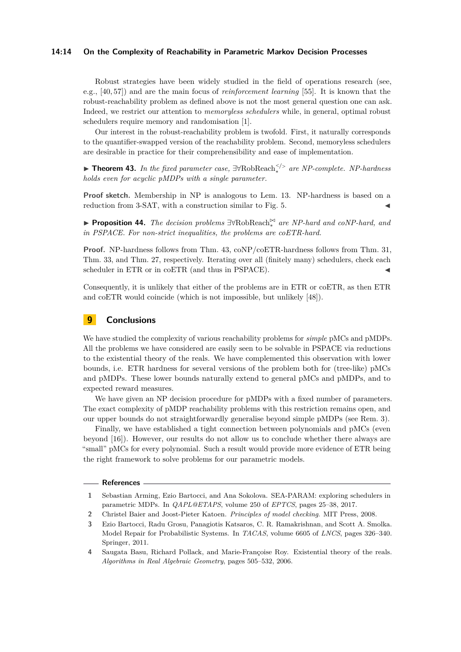## **14:14 On the Complexity of Reachability in Parametric Markov Decision Processes**

Robust strategies have been widely studied in the field of operations research (see, e.g., [\[40,](#page-15-19) [57\]](#page-16-12)) and are the main focus of *reinforcement learning* [\[55\]](#page-16-13). It is known that the robust-reachability problem as defined above is not the most general question one can ask. Indeed, we restrict our attention to *memoryless schedulers* while, in general, optimal robust schedulers require memory and randomisation [\[1\]](#page-13-3).

Our interest in the robust-reachability problem is twofold. First, it naturally corresponds to the quantifier-swapped version of the reachability problem. Second, memoryless schedulers are desirable in practice for their comprehensibility and ease of implementation.

<span id="page-13-4"></span>I **Theorem 43.** *In the fixed parameter case,* ∃∀RobReach*<sup>&</sup>lt;/<sup>&</sup>gt;* <sup>∗</sup> *are NP-complete. NP-hardness holds even for acyclic pMDPs with a single parameter.*

**Proof sketch.** Membership in NP is analogous to Lem. [13.](#page-5-1) NP-hardness is based on a reduction from 3-SAT, with a construction similar to Fig.  $5$ .

► **Proposition 44.** *The decision problems*  $\exists \forall \text{RobReach}_*^{\Join}$  *are NP-hard and coNP-hard, and in PSPACE. For non-strict inequalities, the problems are coETR-hard.*

**Proof.** NP-hardness follows from Thm. [43,](#page-13-4) coNP/coETR-hardness follows from Thm. [31,](#page-9-4) Thm. [33,](#page-10-0) and Thm. [27,](#page-8-0) respectively. Iterating over all (finitely many) schedulers, check each scheduler in ETR or in coETR (and thus in PSPACE).

Consequently, it is unlikely that either of the problems are in ETR or coETR, as then ETR and coETR would coincide (which is not impossible, but unlikely [\[48\]](#page-16-8)).

## **9 Conclusions**

We have studied the complexity of various reachability problems for *simple* pMCs and pMDPs. All the problems we have considered are easily seen to be solvable in PSPACE via reductions to the existential theory of the reals. We have complemented this observation with lower bounds, i.e. ETR hardness for several versions of the problem both for (tree-like) pMCs and pMDPs. These lower bounds naturally extend to general pMCs and pMDPs, and to expected reward measures.

We have given an NP decision procedure for pMDPs with a fixed number of parameters. The exact complexity of pMDP reachability problems with this restriction remains open, and our upper bounds do not straightforwardly generalise beyond simple pMDPs (see Rem. [3\)](#page-2-0).

Finally, we have established a tight connection between polynomials and pMCs (even beyond [\[16\]](#page-14-9)). However, our results do not allow us to conclude whether there always are "small" pMCs for every polynomial. Such a result would provide more evidence of ETR being the right framework to solve problems for our parametric models.

#### **References**

- <span id="page-13-3"></span>**1** Sebastian Arming, Ezio Bartocci, and Ana Sokolova. SEA-PARAM: exploring schedulers in parametric MDPs. In *QAPL@ETAPS*, volume 250 of *EPTCS*, pages 25–38, 2017.
- <span id="page-13-1"></span>**2** Christel Baier and Joost-Pieter Katoen. *Principles of model checking*. MIT Press, 2008.
- <span id="page-13-0"></span>**3** Ezio Bartocci, Radu Grosu, Panagiotis Katsaros, C. R. Ramakrishnan, and Scott A. Smolka. Model Repair for Probabilistic Systems. In *TACAS*, volume 6605 of *LNCS*, pages 326–340. Springer, 2011.
- <span id="page-13-2"></span>**4** Saugata Basu, Richard Pollack, and Marie-Françoise Roy. Existential theory of the reals. *Algorithms in Real Algebraic Geometry*, pages 505–532, 2006.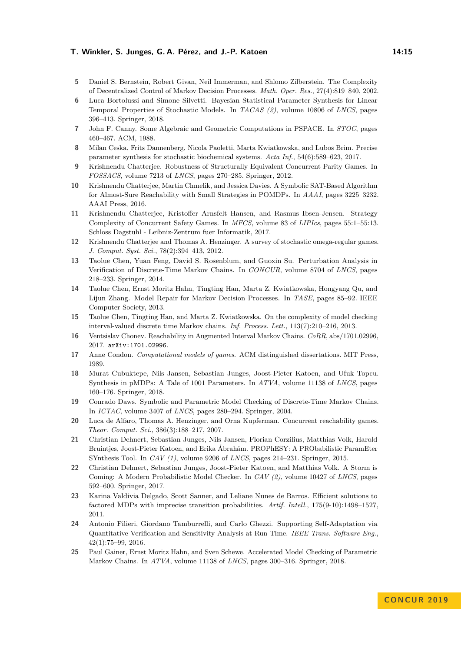- <span id="page-14-3"></span>**5** Daniel S. Bernstein, Robert Givan, Neil Immerman, and Shlomo Zilberstein. The Complexity of Decentralized Control of Markov Decision Processes. *Math. Oper. Res.*, 27(4):819–840, 2002.
- <span id="page-14-17"></span>**6** Luca Bortolussi and Simone Silvetti. Bayesian Statistical Parameter Synthesis for Linear Temporal Properties of Stochastic Models. In *TACAS (2)*, volume 10806 of *LNCS*, pages 396–413. Springer, 2018.
- <span id="page-14-18"></span>**7** John F. Canny. Some Algebraic and Geometric Computations in PSPACE. In *STOC*, pages 460–467. ACM, 1988.
- <span id="page-14-14"></span>**8** Milan Ceska, Frits Dannenberg, Nicola Paoletti, Marta Kwiatkowska, and Lubos Brim. Precise parameter synthesis for stochastic biochemical systems. *Acta Inf.*, 54(6):589–623, 2017.
- <span id="page-14-15"></span>**9** Krishnendu Chatterjee. Robustness of Structurally Equivalent Concurrent Parity Games. In *FOSSACS*, volume 7213 of *LNCS*, pages 270–285. Springer, 2012.
- <span id="page-14-6"></span>**10** Krishnendu Chatterjee, Martin Chmelik, and Jessica Davies. A Symbolic SAT-Based Algorithm for Almost-Sure Reachability with Small Strategies in POMDPs. In *AAAI*, pages 3225–3232. AAAI Press, 2016.
- <span id="page-14-19"></span>**11** Krishnendu Chatterjee, Kristoffer Arnsfelt Hansen, and Rasmus Ibsen-Jensen. Strategy Complexity of Concurrent Safety Games. In *MFCS*, volume 83 of *LIPIcs*, pages 55:1–55:13. Schloss Dagstuhl - Leibniz-Zentrum fuer Informatik, 2017.
- <span id="page-14-7"></span>**12** Krishnendu Chatterjee and Thomas A. Henzinger. A survey of stochastic omega-regular games. *J. Comput. Syst. Sci.*, 78(2):394–413, 2012.
- <span id="page-14-16"></span>**13** Taolue Chen, Yuan Feng, David S. Rosenblum, and Guoxin Su. Perturbation Analysis in Verification of Discrete-Time Markov Chains. In *CONCUR*, volume 8704 of *LNCS*, pages 218–233. Springer, 2014.
- <span id="page-14-11"></span>**14** Taolue Chen, Ernst Moritz Hahn, Tingting Han, Marta Z. Kwiatkowska, Hongyang Qu, and Lijun Zhang. Model Repair for Markov Decision Processes. In *TASE*, pages 85–92. IEEE Computer Society, 2013.
- <span id="page-14-0"></span>**15** Taolue Chen, Tingting Han, and Marta Z. Kwiatkowska. On the complexity of model checking interval-valued discrete time Markov chains. *Inf. Process. Lett.*, 113(7):210–216, 2013.
- <span id="page-14-9"></span>**16** Ventsislav Chonev. Reachability in Augmented Interval Markov Chains. *CoRR*, abs/1701.02996, 2017. [arXiv:1701.02996](http://arxiv.org/abs/1701.02996).
- <span id="page-14-13"></span>**17** Anne Condon. *Computational models of games*. ACM distinguished dissertations. MIT Press, 1989.
- <span id="page-14-12"></span>**18** Murat Cubuktepe, Nils Jansen, Sebastian Junges, Joost-Pieter Katoen, and Ufuk Topcu. Synthesis in pMDPs: A Tale of 1001 Parameters. In *ATVA*, volume 11138 of *LNCS*, pages 160–176. Springer, 2018.
- <span id="page-14-1"></span>**19** Conrado Daws. Symbolic and Parametric Model Checking of Discrete-Time Markov Chains. In *ICTAC*, volume 3407 of *LNCS*, pages 280–294. Springer, 2004.
- <span id="page-14-8"></span>**20** Luca de Alfaro, Thomas A. Henzinger, and Orna Kupferman. Concurrent reachability games. *Theor. Comput. Sci.*, 386(3):188–217, 2007.
- <span id="page-14-5"></span>**21** Christian Dehnert, Sebastian Junges, Nils Jansen, Florian Corzilius, Matthias Volk, Harold Bruintjes, Joost-Pieter Katoen, and Erika Ábrahám. PROPhESY: A PRObabilistic ParamEter SYnthesis Tool. In *CAV (1)*, volume 9206 of *LNCS*, pages 214–231. Springer, 2015.
- <span id="page-14-4"></span>**22** Christian Dehnert, Sebastian Junges, Joost-Pieter Katoen, and Matthias Volk. A Storm is Coming: A Modern Probabilistic Model Checker. In *CAV (2)*, volume 10427 of *LNCS*, pages 592–600. Springer, 2017.
- <span id="page-14-2"></span>**23** Karina Valdivia Delgado, Scott Sanner, and Leliane Nunes de Barros. Efficient solutions to factored MDPs with imprecise transition probabilities. *Artif. Intell.*, 175(9-10):1498–1527, 2011.
- **24** Antonio Filieri, Giordano Tamburrelli, and Carlo Ghezzi. Supporting Self-Adaptation via Quantitative Verification and Sensitivity Analysis at Run Time. *IEEE Trans. Software Eng.*, 42(1):75–99, 2016.
- <span id="page-14-10"></span>**25** Paul Gainer, Ernst Moritz Hahn, and Sven Schewe. Accelerated Model Checking of Parametric Markov Chains. In *ATVA*, volume 11138 of *LNCS*, pages 300–316. Springer, 2018.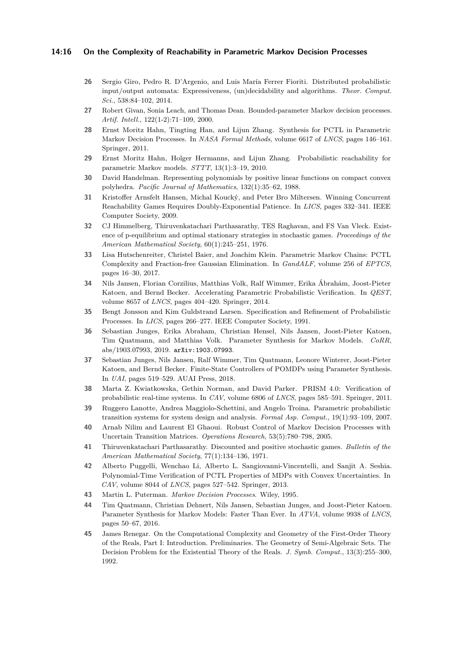## **14:16 On the Complexity of Reachability in Parametric Markov Decision Processes**

- <span id="page-15-5"></span>**26** Sergio Giro, Pedro R. D'Argenio, and Luis María Ferrer Fioriti. Distributed probabilistic input/output automata: Expressiveness, (un)decidability and algorithms. *Theor. Comput. Sci.*, 538:84–102, 2014.
- <span id="page-15-1"></span>**27** Robert Givan, Sonia Leach, and Thomas Dean. Bounded-parameter Markov decision processes. *Artif. Intell.*, 122(1-2):71–109, 2000.
- <span id="page-15-3"></span>**28** Ernst Moritz Hahn, Tingting Han, and Lijun Zhang. Synthesis for PCTL in Parametric Markov Decision Processes. In *NASA Formal Methods*, volume 6617 of *LNCS*, pages 146–161. Springer, 2011.
- <span id="page-15-7"></span>**29** Ernst Moritz Hahn, Holger Hermanns, and Lijun Zhang. Probabilistic reachability for parametric Markov models. *STTT*, 13(1):3–19, 2010.
- <span id="page-15-15"></span>**30** David Handelman. Representing polynomials by positive linear functions on compact convex polyhedra. *Pacific Journal of Mathematics*, 132(1):35–62, 1988.
- <span id="page-15-16"></span>**31** Kristoffer Arnsfelt Hansen, Michal Koucký, and Peter Bro Miltersen. Winning Concurrent Reachability Games Requires Doubly-Exponential Patience. In *LICS*, pages 332–341. IEEE Computer Society, 2009.
- <span id="page-15-17"></span>**32** CJ Himmelberg, Thiruvenkatachari Parthasarathy, TES Raghavan, and FS Van Vleck. Existence of p-equilibrium and optimal stationary strategies in stochastic games. *Proceedings of the American Mathematical Society*, 60(1):245–251, 1976.
- <span id="page-15-9"></span>**33** Lisa Hutschenreiter, Christel Baier, and Joachim Klein. Parametric Markov Chains: PCTL Complexity and Fraction-free Gaussian Elimination. In *GandALF*, volume 256 of *EPTCS*, pages 16–30, 2017.
- <span id="page-15-10"></span>**34** Nils Jansen, Florian Corzilius, Matthias Volk, Ralf Wimmer, Erika Ábrahám, Joost-Pieter Katoen, and Bernd Becker. Accelerating Parametric Probabilistic Verification. In *QEST*, volume 8657 of *LNCS*, pages 404–420. Springer, 2014.
- <span id="page-15-0"></span>**35** Bengt Jonsson and Kim Guldstrand Larsen. Specification and Refinement of Probabilistic Processes. In *LICS*, pages 266–277. IEEE Computer Society, 1991.
- <span id="page-15-12"></span>**36** Sebastian Junges, Erika Abraham, Christian Hensel, Nils Jansen, Joost-Pieter Katoen, Tim Quatmann, and Matthias Volk. Parameter Synthesis for Markov Models. *CoRR*, abs/1903.07993, 2019. [arXiv:1903.07993](http://arxiv.org/abs/1903.07993).
- <span id="page-15-8"></span>**37** Sebastian Junges, Nils Jansen, Ralf Wimmer, Tim Quatmann, Leonore Winterer, Joost-Pieter Katoen, and Bernd Becker. Finite-State Controllers of POMDPs using Parameter Synthesis. In *UAI*, pages 519–529. AUAI Press, 2018.
- <span id="page-15-6"></span>**38** Marta Z. Kwiatkowska, Gethin Norman, and David Parker. PRISM 4.0: Verification of probabilistic real-time systems. In *CAV*, volume 6806 of *LNCS*, pages 585–591. Springer, 2011.
- <span id="page-15-4"></span>**39** Ruggero Lanotte, Andrea Maggiolo-Schettini, and Angelo Troina. Parametric probabilistic transition systems for system design and analysis. *Formal Asp. Comput.*, 19(1):93–109, 2007.
- <span id="page-15-19"></span>**40** Arnab Nilim and Laurent El Ghaoui. Robust Control of Markov Decision Processes with Uncertain Transition Matrices. *Operations Research*, 53(5):780–798, 2005.
- <span id="page-15-18"></span>**41** Thiruvenkatachari Parthasarathy. Discounted and positive stochastic games. *Bulletin of the American Mathematical Society*, 77(1):134–136, 1971.
- <span id="page-15-2"></span>**42** Alberto Puggelli, Wenchao Li, Alberto L. Sangiovanni-Vincentelli, and Sanjit A. Seshia. Polynomial-Time Verification of PCTL Properties of MDPs with Convex Uncertainties. In *CAV*, volume 8044 of *LNCS*, pages 527–542. Springer, 2013.
- <span id="page-15-13"></span>**43** Martin L. Puterman. *Markov Decision Processes*. Wiley, 1995.
- <span id="page-15-11"></span>**44** Tim Quatmann, Christian Dehnert, Nils Jansen, Sebastian Junges, and Joost-Pieter Katoen. Parameter Synthesis for Markov Models: Faster Than Ever. In *ATVA*, volume 9938 of *LNCS*, pages 50–67, 2016.
- <span id="page-15-14"></span>**45** James Renegar. On the Computational Complexity and Geometry of the First-Order Theory of the Reals, Part I: Introduction. Preliminaries. The Geometry of Semi-Algebraic Sets. The Decision Problem for the Existential Theory of the Reals. *J. Symb. Comput.*, 13(3):255–300, 1992.